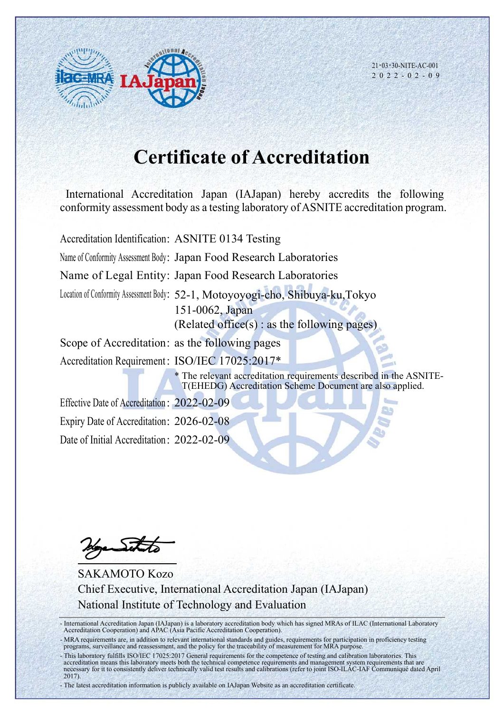

21・03・30-NITE-AC-001 2 0 2 2 - 0 2 - 0 9

## **Certificate of Accreditation**

International Accreditation Japan (IAJapan) hereby accredits the following conformity assessment body as a testing laboratory of ASNITE accreditation program.

Accreditation Identification: ASNITE 0134 Testing

Name of Conformity Assessment Body: Japan Food Research Laboratories

Name of Legal Entity: Japan Food Research Laboratories

Location of Conformity Assessment Body: 52-1, Motoyoyogi-cho, Shibuya-ku,Tokyo 151-0062, Japan (Related office(s) : as the following pages)

Scope of Accreditation: as the following pages

Accreditation Requirement: ISO/IEC 17025:2017\*

\* The relevant accreditation requirements described in the ASNITE-T(EHEDG) Accreditation Scheme Document are also applied.

Effective Date of Accreditation : 2022-02-09 Expiry Date of Accreditation: 2026-02-08 Date of Initial Accreditation: 2022-02-09

 $\sum$ 

SAKAMOTO Kozo Chief Executive, International Accreditation Japan (IAJapan) National Institute of Technology and Evaluation

- International Accreditation Japan (IAJapan) is a laboratory accreditation body which has signed MRAs of ILAC (International Laboratory Accreditation Cooperation) and APAC (Asia Pacific Accreditation Cooperation).

- MRA requirements are, in addition to relevant international standards and guides, requirements for participation in proficiency testing programs, surveillance and reassessment, and the policy for the traceability of measurement for MRA purpose.

- This laboratory fulfills ISO/IEC 17025:2017 General requirements for the competence of testing and calibration laboratories. This accreditation means this laboratory meets both the technical competence requirements and management system requirements that are necessary for it to consistently deliver technically valid test results and calibrations (refer to joint ISO-ILAC-IAF Communiqué dated April 2017).

- The latest accreditation information is publicly available on IAJapan Website as an accreditation certificate.